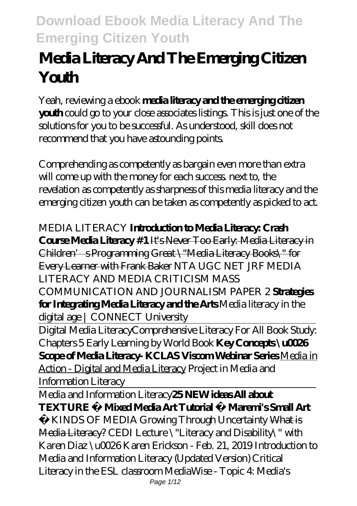# **Media Literacy And The Emerging Citizen Youth**

Yeah, reviewing a ebook **media literacy and the emerging citizen youth** could go to your close associates listings. This is just one of the solutions for you to be successful. As understood, skill does not recommend that you have astounding points.

Comprehending as competently as bargain even more than extra will come up with the money for each success next to, the revelation as competently as sharpness of this media literacy and the emerging citizen youth can be taken as competently as picked to act.

*MEDIA LITERACY* **Introduction to Media Literacy: Crash Course Media Literacy #1** It's Never Too Early: Media Literacy in Children's Programming Great \"Media Literacy Books\" for Every Learner with Frank Baker *NTA UGC NET JRF MEDIA LITERACY AND MEDIA CRITICISM MASS COMMUNICATION AND JOURNALISM PAPER 2* **Strategies for Integrating Media Literacy and the Arts** *Media literacy in the digital age | CONNECT University*

Digital Media Literacy*Comprehensive Literacy For All Book Study: Chapters 5 Early Learning by World Book* **Key Concepts \u0026 Scope of Media Literacy- KCLAS Viscom Webinar Series** Media in Action - Digital and Media Literacy *Project in Media and Information Literacy*

Media and Information Literacy**25 NEW ideas All about TEXTURE Mixed Media Art Tutorial Maremi's Small Art** 

 KINDS OF MEDIA *Growing Through Uncertainty* What is Media Literacy? CEDI Lecture \"Literacy and Disability\" with Karen Diaz \u0026 Karen Erickson - Feb. 21, 2019 *Introduction to Media and Information Literacy (Updated Version) Critical Literacy in the ESL classroom MediaWise - Topic 4: Media's*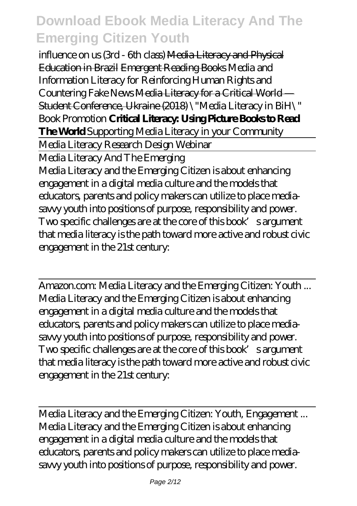*influence on us (3rd - 6th class)* Media Literacy and Physical Education in Brazil Emergent Reading Books *Media and Information Literacy for Reinforcing Human Rights and Countering Fake News* Media Literacy for a Critical World — Student Conference, Ukraine (2018) *\"Media Literacy in BiH\" Book Promotion* **Critical Literacy: Using Picture Books to Read The World** Supporting Media Literacy in your Community Media Literacy Research Design Webinar Media Literacy And The Emerging Media Literacy and the Emerging Citizen is about enhancing engagement in a digital media culture and the models that educators, parents and policy makers can utilize to place mediasavvy youth into positions of purpose, responsibility and power. Two specific challenges are at the core of this book's argument that media literacy is the path toward more active and robust civic engagement in the 21st century:

Amazon.com: Media Literacy and the Emerging Citizen: Youth ... Media Literacy and the Emerging Citizen is about enhancing engagement in a digital media culture and the models that educators, parents and policy makers can utilize to place mediasavvy youth into positions of purpose, responsibility and power. Two specific challenges are at the core of this book's argument that media literacy is the path toward more active and robust civic engagement in the 21st century:

Media Literacy and the Emerging Citizen: Youth, Engagement ... Media Literacy and the Emerging Citizen is about enhancing engagement in a digital media culture and the models that educators, parents and policy makers can utilize to place mediasavvy youth into positions of purpose, responsibility and power.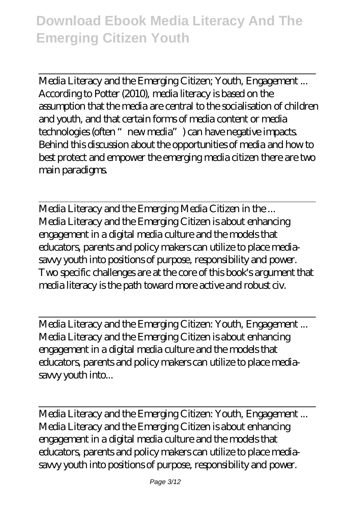Media Literacy and the Emerging Citizen; Youth, Engagement ... According to Potter (2010), media literacy is based on the assumption that the media are central to the socialisation of children and youth, and that certain forms of media content or media technologies (often "new media") can have negative impacts. Behind this discussion about the opportunities of media and how to best protect and empower the emerging media citizen there are two main paradigms.

Media Literacy and the Emerging Media Citizen in the ... Media Literacy and the Emerging Citizen is about enhancing engagement in a digital media culture and the models that educators, parents and policy makers can utilize to place mediasavvy youth into positions of purpose, responsibility and power. Two specific challenges are at the core of this book's argument that media literacy is the path toward more active and robust civ.

Media Literacy and the Emerging Citizen: Youth, Engagement ... Media Literacy and the Emerging Citizen is about enhancing engagement in a digital media culture and the models that educators, parents and policy makers can utilize to place mediasavvy youth into...

Media Literacy and the Emerging Citizen: Youth, Engagement ... Media Literacy and the Emerging Citizen is about enhancing engagement in a digital media culture and the models that educators, parents and policy makers can utilize to place mediasavvy youth into positions of purpose, responsibility and power.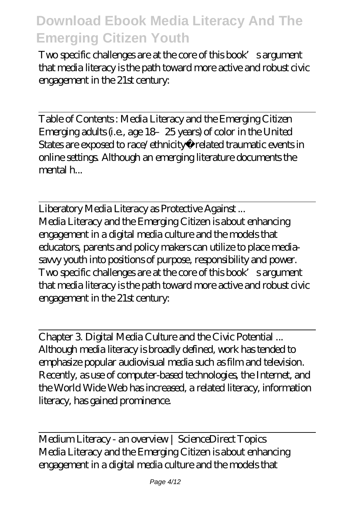Two specific challenges are at the core of this book's argument that media literacy is the path toward more active and robust civic engagement in the 21st century:

Table of Contents : Media Literacy and the Emerging Citizen Emerging adults (i.e., age 18–25 years) of color in the United States are exposed to race/ethnicity related traumatic events in online settings. Although an emerging literature documents the mental h...

Liberatory Media Literacy as Protective Against ... Media Literacy and the Emerging Citizen is about enhancing engagement in a digital media culture and the models that educators, parents and policy makers can utilize to place mediasavvy youth into positions of purpose, responsibility and power. Two specific challenges are at the core of this book's argument that media literacy is the path toward more active and robust civic engagement in the 21st century:

Chapter 3. Digital Media Culture and the Civic Potential ... Although media literacy is broadly defined, work has tended to emphasize popular audiovisual media such as film and television. Recently, as use of computer-based technologies, the Internet, and the World Wide Web has increased, a related literacy, information literacy, has gained prominence.

Medium Literacy - an overview | ScienceDirect Topics Media Literacy and the Emerging Citizen is about enhancing engagement in a digital media culture and the models that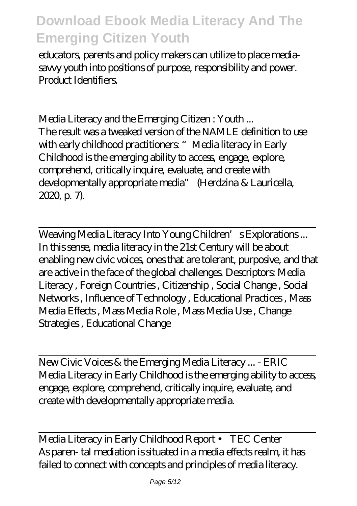educators, parents and policy makers can utilize to place mediasavvy youth into positions of purpose, responsibility and power. Product Identifiers.

Media Literacy and the Emerging Citizen : Youth ... The result was a tweaked version of the NAMLE definition to use with early childhood practitioners "Media literacy in Early Childhood is the emerging ability to access, engage, explore, comprehend, critically inquire, evaluate, and create with developmentally appropriate media" (Herdzina & Lauricella, 2020, p. 7).

Weaving Media Literacy Into Young Children's Explorations... In this sense, media literacy in the 21st Century will be about enabling new civic voices, ones that are tolerant, purposive, and that are active in the face of the global challenges. Descriptors: Media Literacy , Foreign Countries , Citizenship , Social Change , Social Networks , Influence of Technology , Educational Practices , Mass Media Effects , Mass Media Role , Mass Media Use , Change Strategies , Educational Change

New Civic Voices & the Emerging Media Literacy ... - ERIC Media Literacy in Early Childhood is the emerging ability to access, engage, explore, comprehend, critically inquire, evaluate, and create with developmentally appropriate media.

Media Literacy in Early Childhood Report • TEC Center As paren- tal mediation is situated in a media effects realm, it has failed to connect with concepts and principles of media literacy.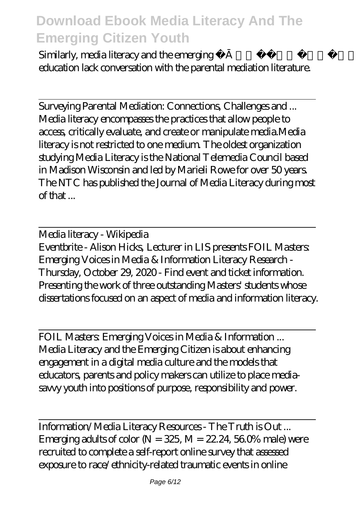Similarly, media literacy and the emerging field of parent media education lack conversation with the parental mediation literature.

Surveying Parental Mediation: Connections, Challenges and ... Media literacy encompasses the practices that allow people to access, critically evaluate, and create or manipulate media.Media literacy is not restricted to one medium. The oldest organization studying Media Literacy is the National Telemedia Council based in Madison Wisconsin and led by Marieli Rowe for over 50 years. The NTC has published the Journal of Media Literacy during most of that ...

Media literacy - Wikipedia Eventbrite - Alison Hicks, Lecturer in LIS presents FOIL Masters: Emerging Voices in Media & Information Literacy Research - Thursday, October 29, 2020 - Find event and ticket information. Presenting the work of three outstanding Masters' students whose dissertations focused on an aspect of media and information literacy.

FOIL Masters: Emerging Voices in Media & Information ... Media Literacy and the Emerging Citizen is about enhancing engagement in a digital media culture and the models that educators, parents and policy makers can utilize to place mediasavvy youth into positions of purpose, responsibility and power.

Information/Media Literacy Resources - The Truth is Out ... Emerging adults of color  $N = 325$   $M = 22.24$ , 56.0% male) were recruited to complete a self-report online survey that assessed exposure to race/ethnicity-related traumatic events in online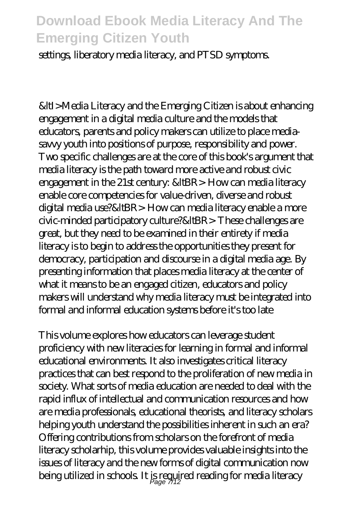settings, liberatory media literacy, and PTSD symptoms.

&ltI>Media Literacy and the Emerging Citizen is about enhancing engagement in a digital media culture and the models that educators, parents and policy makers can utilize to place mediasavvy youth into positions of purpose, responsibility and power. Two specific challenges are at the core of this book's argument that media literacy is the path toward more active and robust civic engagement in the 21st century: &ItBR> How can media literacy enable core competencies for value-driven, diverse and robust digital media use?&ItBR> How can media literacy enable a more civic-minded participatory culture?&ItBR>These challenges are great, but they need to be examined in their entirety if media literacy is to begin to address the opportunities they present for democracy, participation and discourse in a digital media age. By presenting information that places media literacy at the center of what it means to be an engaged citizen, educators and policy makers will understand why media literacy must be integrated into formal and informal education systems before it's too late

This volume explores how educators can leverage student proficiency with new literacies for learning in formal and informal educational environments. It also investigates critical literacy practices that can best respond to the proliferation of new media in society. What sorts of media education are needed to deal with the rapid influx of intellectual and communication resources and how are media professionals, educational theorists, and literacy scholars helping youth understand the possibilities inherent in such an era? Offering contributions from scholars on the forefront of media literacy scholarhip, this volume provides valuable insights into the issues of literacy and the new forms of digital communication now being utilized in schools. It is required reading for media literacy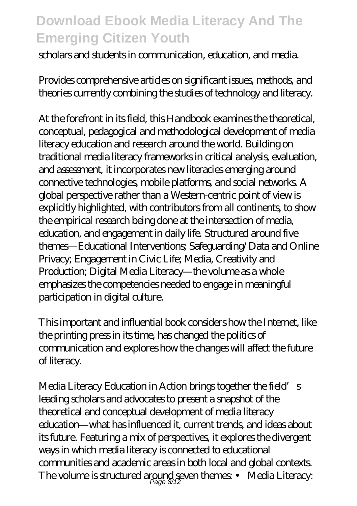scholars and students in communication, education, and media.

Provides comprehensive articles on significant issues, methods, and theories currently combining the studies of technology and literacy.

At the forefront in its field, this Handbook examines the theoretical, conceptual, pedagogical and methodological development of media literacy education and research around the world. Building on traditional media literacy frameworks in critical analysis, evaluation, and assessment, it incorporates new literacies emerging around connective technologies, mobile platforms, and social networks. A global perspective rather than a Western-centric point of view is explicitly highlighted, with contributors from all continents, to show the empirical research being done at the intersection of media, education, and engagement in daily life. Structured around five themes—Educational Interventions; Safeguarding/Data and Online Privacy; Engagement in Civic Life; Media, Creativity and Production; Digital Media Literacy—the volume as a whole emphasizes the competencies needed to engage in meaningful participation in digital culture.

This important and influential book considers how the Internet, like the printing press in its time, has changed the politics of communication and explores how the changes will affect the future of literacy.

Media Literacy Education in Action brings together the field's leading scholars and advocates to present a snapshot of the theoretical and conceptual development of media literacy education—what has influenced it, current trends, and ideas about its future. Featuring a mix of perspectives, it explores the divergent ways in which media literacy is connected to educational communities and academic areas in both local and global contexts. The volume is structured around seven themes  $\;\bullet\;$  Media Literacy: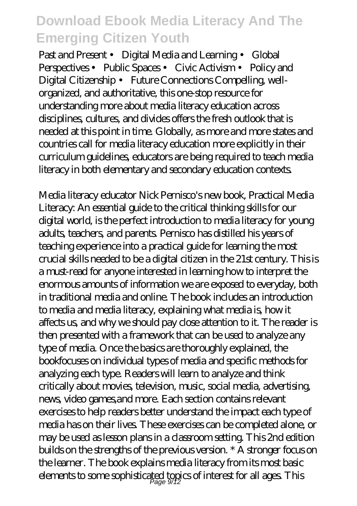Past and Present • Digital Media and Learning • Global Perspectives • Public Spaces • Civic Activism • Policy and Digital Citizenship • Future Connections Compelling, wellorganized, and authoritative, this one-stop resource for understanding more about media literacy education across disciplines, cultures, and divides offers the fresh outlook that is needed at this point in time. Globally, as more and more states and countries call for media literacy education more explicitly in their curriculum guidelines, educators are being required to teach media literacy in both elementary and secondary education contexts.

Media literacy educator Nick Pernisco's new book, Practical Media Literacy: An essential guide to the critical thinking skills for our digital world, is the perfect introduction to media literacy for young adults, teachers, and parents. Pernisco has distilled his years of teaching experience into a practical guide for learning the most crucial skills needed to be a digital citizen in the 21st century. This is a must-read for anyone interested in learning how to interpret the enormous amounts of information we are exposed to everyday, both in traditional media and online. The book includes an introduction to media and media literacy, explaining what media is, how it affects us, and why we should pay close attention to it. The reader is then presented with a framework that can be used to analyze any type of media. Once the basics are thoroughly explained, the bookfocuses on individual types of media and specific methods for analyzing each type. Readers will learn to analyze and think critically about movies, television, music, social media, advertising, news, video games,and more. Each section contains relevant exercises to help readers better understand the impact each type of media has on their lives. These exercises can be completed alone, or may be used as lesson plans in a classroom setting. This 2nd edition builds on the strengths of the previous version. \* A stronger focus on the learner. The book explains media literacy from its most basic elements to some sophisticated topics of interest for all ages. This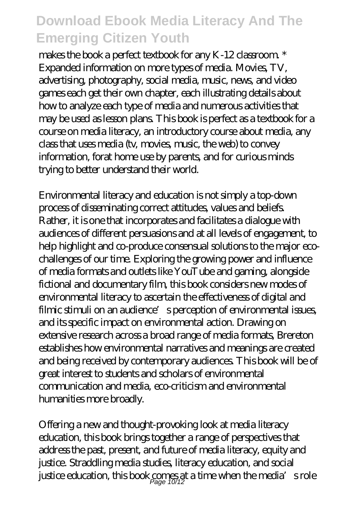makes the book a perfect textbook for any K-12 classroom.<sup>\*</sup> Expanded information on more types of media. Movies, TV, advertising, photography, social media, music, news, and video games each get their own chapter, each illustrating details about how to analyze each type of media and numerous activities that may be used as lesson plans. This book is perfect as a textbook for a course on media literacy, an introductory course about media, any class that uses media (tv, movies, music, the web) to convey information, forat home use by parents, and for curious minds trying to better understand their world.

Environmental literacy and education is not simply a top-down process of disseminating correct attitudes, values and beliefs. Rather, it is one that incorporates and facilitates a dialogue with audiences of different persuasions and at all levels of engagement, to help highlight and co-produce consensual solutions to the major ecochallenges of our time. Exploring the growing power and influence of media formats and outlets like YouTube and gaming, alongside fictional and documentary film, this book considers new modes of environmental literacy to ascertain the effectiveness of digital and filmic stimuli on an audience's perception of environmental issues, and its specific impact on environmental action. Drawing on extensive research across a broad range of media formats, Brereton establishes how environmental narratives and meanings are created and being received by contemporary audiences. This book will be of great interest to students and scholars of environmental communication and media, eco-criticism and environmental humanities more broadly.

Offering a new and thought-provoking look at media literacy education, this book brings together a range of perspectives that address the past, present, and future of media literacy, equity and justice. Straddling media studies, literacy education, and social justice education, this book comes at a time when the media's role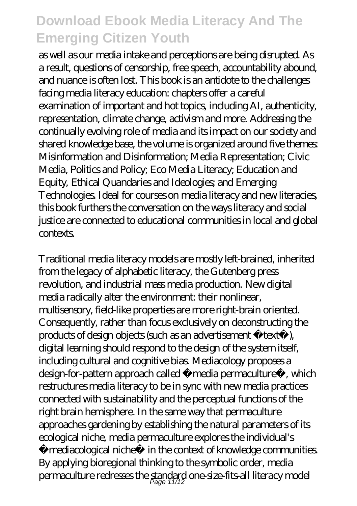as well as our media intake and perceptions are being disrupted. As a result, questions of censorship, free speech, accountability abound, and nuance is often lost. This book is an antidote to the challenges facing media literacy education: chapters offer a careful examination of important and hot topics, including AI, authenticity, representation, climate change, activism and more. Addressing the continually evolving role of media and its impact on our society and shared knowledge base, the volume is organized around five themes: Misinformation and Disinformation; Media Representation; Civic Media, Politics and Policy; Eco Media Literacy; Education and Equity, Ethical Quandaries and Ideologies; and Emerging Technologies. Ideal for courses on media literacy and new literacies, this book furthers the conversation on the ways literacy and social justice are connected to educational communities in local and global contexts.

Traditional media literacy models are mostly left-brained, inherited from the legacy of alphabetic literacy, the Gutenberg press revolution, and industrial mass media production. New digital media radically alter the environment: their nonlinear, multisensory, field-like properties are more right-brain oriented. Consequently, rather than focus exclusively on deconstructing the products of design objects (such as an advertisement «text»), digital learning should respond to the design of the system itself, including cultural and cognitive bias. Mediacology proposes a design-for-pattern approach called «media permaculture», which restructures media literacy to be in sync with new media practices connected with sustainability and the perceptual functions of the right brain hemisphere. In the same way that permaculture approaches gardening by establishing the natural parameters of its ecological niche, media permaculture explores the individual's «mediacological niche» in the context of knowledge communities. By applying bioregional thinking to the symbolic order, media  $\rm per$ maculture redresses the standard one-size-fits-all literacy model